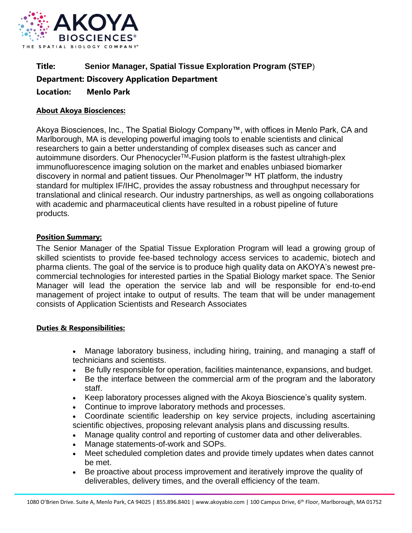

# **Title: Senior Manager, Spatial Tissue Exploration Program (STEP**) **Department: Discovery Application Department Location: Menlo Park**

## **About Akoya Biosciences:**

Akoya Biosciences, Inc., The Spatial Biology Company™, with offices in Menlo Park, CA and Marlborough, MA is developing powerful imaging tools to enable scientists and clinical researchers to gain a better understanding of complex diseases such as cancer and autoimmune disorders. Our Phenocycler<sup>™</sup>-Fusion platform is the fastest ultrahigh-plex immunofluorescence imaging solution on the market and enables unbiased biomarker discovery in normal and patient tissues. Our PhenoImager™ HT platform, the industry standard for multiplex IF/IHC, provides the assay robustness and throughput necessary for translational and clinical research. Our industry partnerships, as well as ongoing collaborations with academic and pharmaceutical clients have resulted in a robust pipeline of future products.

## **Position Summary:**

The Senior Manager of the Spatial Tissue Exploration Program will lead a growing group of skilled scientists to provide fee-based technology access services to academic, biotech and pharma clients. The goal of the service is to produce high quality data on AKOYA's newest precommercial technologies for interested parties in the Spatial Biology market space. The Senior Manager will lead the operation the service lab and will be responsible for end-to-end management of project intake to output of results. The team that will be under management consists of Application Scientists and Research Associates

### **Duties & Responsibilities:**

- Manage laboratory business, including hiring, training, and managing a staff of technicians and scientists.
- Be fully responsible for operation, facilities maintenance, expansions, and budget.
- Be the interface between the commercial arm of the program and the laboratory staff.
- Keep laboratory processes aligned with the Akoya Bioscience's quality system.
- Continue to improve laboratory methods and processes.
- Coordinate scientific leadership on key service projects, including ascertaining scientific objectives, proposing relevant analysis plans and discussing results.
- Manage quality control and reporting of customer data and other deliverables.
- Manage statements-of-work and SOPs.
- Meet scheduled completion dates and provide timely updates when dates cannot be met.
- Be proactive about process improvement and iteratively improve the quality of deliverables, delivery times, and the overall efficiency of the team.